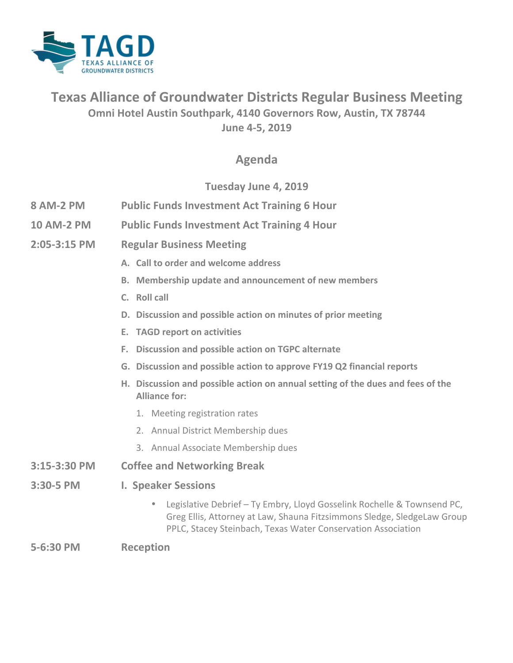

## **Texas Alliance of Groundwater Districts Regular Business Meeting Omni Hotel Austin Southpark, 4140 Governors Row, Austin, TX 78744 June 4-5, 2019**

### **Agenda**

#### **Tuesday June 4, 2019**

- **8 AM-2 PM** Public Funds Investment Act Training 6 Hour
- **10 AM-2 PM** Public Funds Investment Act Training 4 Hour
- **2:05-3:15 PM Regular Business Meeting**
	- A. Call to order and welcome address
	- **B.** Membership update and announcement of new members
	- **C. Roll** call
	- **D.** Discussion and possible action on minutes of prior meeting
	- **E. TAGD** report on activities
	- **F. Discussion and possible action on TGPC alternate**
	- **G. Discussion and possible action to approve FY19 Q2 financial reports**
	- H. Discussion and possible action on annual setting of the dues and fees of the **Alliance for:** 
		- 1. Meeting registration rates
		- 2. Annual District Membership dues
		- 3. Annual Associate Membership dues

#### **3:15-3:30 PM Coffee and Networking Break**

- **3:30-5 PM I. Speaker Sessions** 
	- Legislative Debrief Ty Embry, Lloyd Gosselink Rochelle & Townsend PC, Greg Ellis, Attorney at Law, Shauna Fitzsimmons Sledge, SledgeLaw Group PPLC, Stacey Steinbach, Texas Water Conservation Association

#### **5-6:30 PM Reception**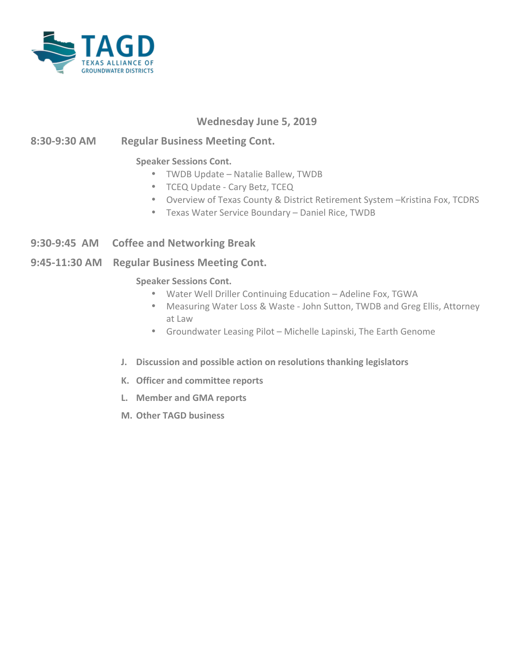

#### **Wednesday June 5, 2019**

#### **8:30-9:30 AM Regular Business Meeting Cont.**

#### **Speaker Sessions Cont.**

- TWDB Update Natalie Ballew, TWDB
- TCEQ Update Cary Betz, TCEQ
- Overview of Texas County & District Retirement System -Kristina Fox, TCDRS
- Texas Water Service Boundary Daniel Rice, TWDB
- **9:30-9:45 AM** Coffee and Networking Break
- **9:45-11:30 AM Regular Business Meeting Cont.**

#### **Speaker Sessions Cont.**

- Water Well Driller Continuing Education Adeline Fox, TGWA
- Measuring Water Loss & Waste John Sutton, TWDB and Greg Ellis, Attorney at Law
- Groundwater Leasing Pilot Michelle Lapinski, The Earth Genome
- **J.** Discussion and possible action on resolutions thanking legislators
- **K. Officer and committee reports**
- **L. Member and GMA reports**
- **M.** Other TAGD business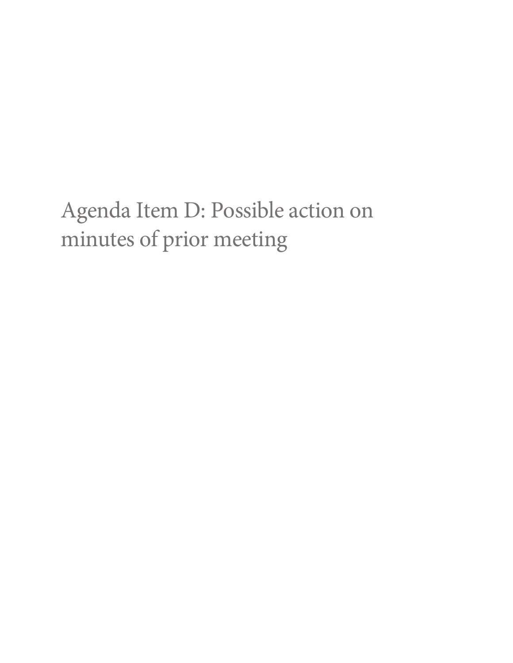## Agenda Item D: Possible action on minutes of prior meeting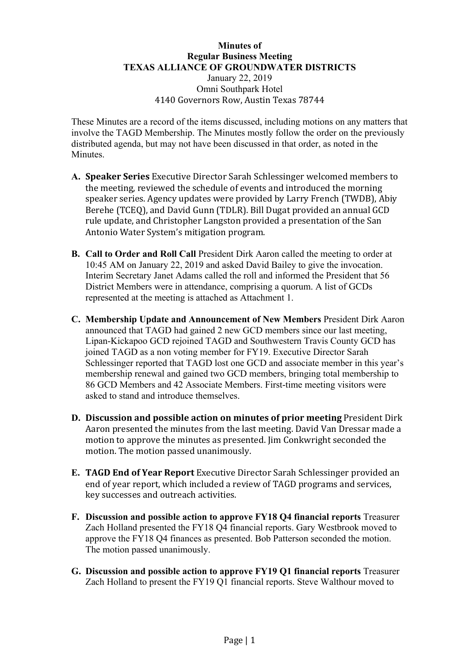#### **Minutes of Regular Business Meeting TEXAS ALLIANCE OF GROUNDWATER DISTRICTS** January 22, 2019 Omni Southpark Hotel 4140 Governors Row, Austin Texas 78744

These Minutes are a record of the items discussed, including motions on any matters that involve the TAGD Membership. The Minutes mostly follow the order on the previously distributed agenda, but may not have been discussed in that order, as noted in the **Minutes** 

- A. **Speaker Series** Executive Director Sarah Schlessinger welcomed members to the meeting, reviewed the schedule of events and introduced the morning speaker series. Agency updates were provided by Larry French (TWDB), Abiy Berehe (TCEQ), and David Gunn (TDLR). Bill Dugat provided an annual GCD rule update, and Christopher Langston provided a presentation of the San Antonio Water System's mitigation program.
- **B. Call to Order and Roll Call** President Dirk Aaron called the meeting to order at 10:45 AM on January 22, 2019 and asked David Bailey to give the invocation. Interim Secretary Janet Adams called the roll and informed the President that 56 District Members were in attendance, comprising a quorum. A list of GCDs represented at the meeting is attached as Attachment 1.
- **C. Membership Update and Announcement of New Members** President Dirk Aaron announced that TAGD had gained 2 new GCD members since our last meeting, Lipan-Kickapoo GCD rejoined TAGD and Southwestern Travis County GCD has joined TAGD as a non voting member for FY19. Executive Director Sarah Schlessinger reported that TAGD lost one GCD and associate member in this year's membership renewal and gained two GCD members, bringing total membership to 86 GCD Members and 42 Associate Members. First-time meeting visitors were asked to stand and introduce themselves.
- **D.** Discussion and possible action on minutes of prior meeting President Dirk Aaron presented the minutes from the last meeting. David Van Dressar made a motion to approve the minutes as presented. I im Conkwright seconded the motion. The motion passed unanimously.
- **E. TAGD End of Year Report** Executive Director Sarah Schlessinger provided an end of year report, which included a review of TAGD programs and services, key successes and outreach activities.
- **F. Discussion and possible action to approve FY18 Q4 financial reports** Treasurer Zach Holland presented the FY18 Q4 financial reports. Gary Westbrook moved to approve the FY18 Q4 finances as presented. Bob Patterson seconded the motion. The motion passed unanimously.
- **G. Discussion and possible action to approve FY19 Q1 financial reports** Treasurer Zach Holland to present the FY19 Q1 financial reports. Steve Walthour moved to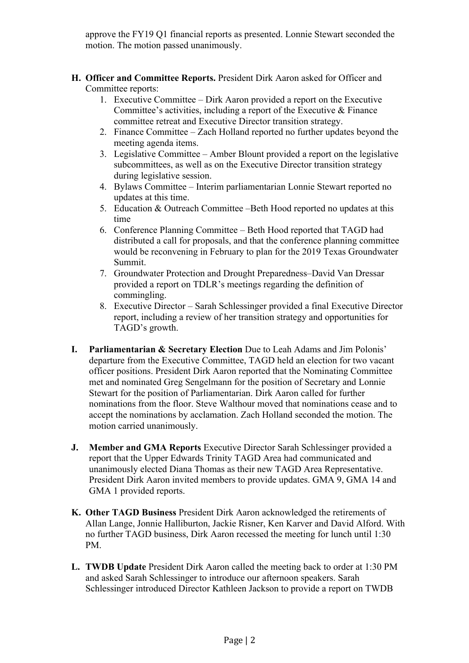approve the FY19 Q1 financial reports as presented. Lonnie Stewart seconded the motion. The motion passed unanimously.

- **H. Officer and Committee Reports.** President Dirk Aaron asked for Officer and Committee reports:
	- 1. Executive Committee Dirk Aaron provided a report on the Executive Committee's activities, including a report of the Executive  $\&$  Finance committee retreat and Executive Director transition strategy.
	- 2. Finance Committee Zach Holland reported no further updates beyond the meeting agenda items.
	- 3. Legislative Committee Amber Blount provided a report on the legislative subcommittees, as well as on the Executive Director transition strategy during legislative session.
	- 4. Bylaws Committee Interim parliamentarian Lonnie Stewart reported no updates at this time.
	- 5. Education & Outreach Committee –Beth Hood reported no updates at this time
	- 6. Conference Planning Committee Beth Hood reported that TAGD had distributed a call for proposals, and that the conference planning committee would be reconvening in February to plan for the 2019 Texas Groundwater Summit.
	- 7. Groundwater Protection and Drought Preparedness–David Van Dressar provided a report on TDLR's meetings regarding the definition of commingling.
	- 8. Executive Director Sarah Schlessinger provided a final Executive Director report, including a review of her transition strategy and opportunities for TAGD's growth.
- **I. Parliamentarian & Secretary Election** Due to Leah Adams and Jim Polonis' departure from the Executive Committee, TAGD held an election for two vacant officer positions. President Dirk Aaron reported that the Nominating Committee met and nominated Greg Sengelmann for the position of Secretary and Lonnie Stewart for the position of Parliamentarian. Dirk Aaron called for further nominations from the floor. Steve Walthour moved that nominations cease and to accept the nominations by acclamation. Zach Holland seconded the motion. The motion carried unanimously.
- **J. Member and GMA Reports** Executive Director Sarah Schlessinger provided a report that the Upper Edwards Trinity TAGD Area had communicated and unanimously elected Diana Thomas as their new TAGD Area Representative. President Dirk Aaron invited members to provide updates. GMA 9, GMA 14 and GMA 1 provided reports.
- **K. Other TAGD Business** President Dirk Aaron acknowledged the retirements of Allan Lange, Jonnie Halliburton, Jackie Risner, Ken Karver and David Alford. With no further TAGD business, Dirk Aaron recessed the meeting for lunch until 1:30 PM.
- **L. TWDB Update** President Dirk Aaron called the meeting back to order at 1:30 PM and asked Sarah Schlessinger to introduce our afternoon speakers. Sarah Schlessinger introduced Director Kathleen Jackson to provide a report on TWDB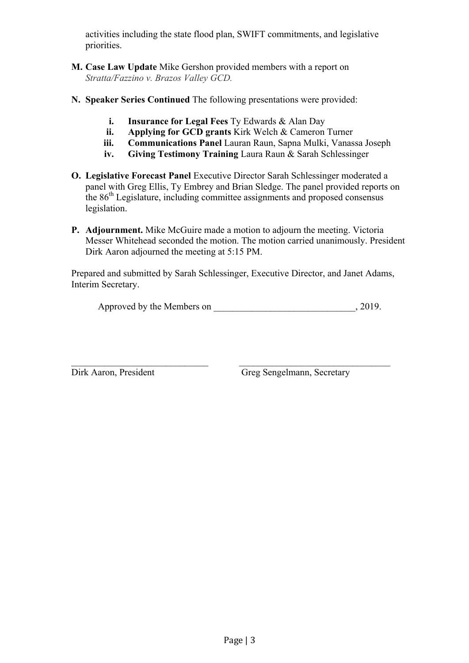activities including the state flood plan, SWIFT commitments, and legislative priorities.

- **M. Case Law Update** Mike Gershon provided members with a report on *Stratta/Fazzino v. Brazos Valley GCD.*
- **N. Speaker Series Continued** The following presentations were provided:
	- **i. Insurance for Legal Fees** Ty Edwards & Alan Day
	- **ii. Applying for GCD grants** Kirk Welch & Cameron Turner
	- **iii. Communications Panel** Lauran Raun, Sapna Mulki, Vanassa Joseph
	- **iv. Giving Testimony Training** Laura Raun & Sarah Schlessinger
- **O. Legislative Forecast Panel** Executive Director Sarah Schlessinger moderated a panel with Greg Ellis, Ty Embrey and Brian Sledge. The panel provided reports on the 86th Legislature, including committee assignments and proposed consensus legislation.
- **P. Adjournment.** Mike McGuire made a motion to adjourn the meeting. Victoria Messer Whitehead seconded the motion. The motion carried unanimously. President Dirk Aaron adjourned the meeting at 5:15 PM.

Prepared and submitted by Sarah Schlessinger, Executive Director, and Janet Adams, Interim Secretary.

 $\mathcal{L}_\text{max}$  , and the contribution of the contribution of the contribution of the contribution of the contribution of the contribution of the contribution of the contribution of the contribution of the contribution of t

Approved by the Members on  $, 2019.$ 

Dirk Aaron, President Greg Sengelmann, Secretary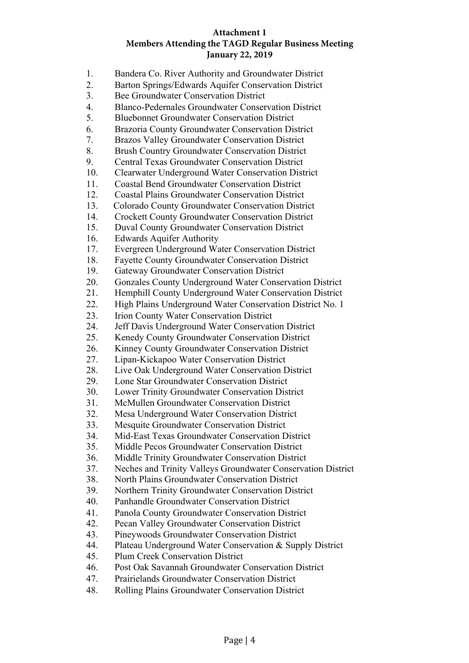#### **Attachment 1 Members Attending the TAGD Regular Business Meeting January 22, 2019**

- 1. Bandera Co. River Authority and Groundwater District
- 2. Barton Springs/Edwards Aquifer Conservation District
- 3. Bee Groundwater Conservation District
- 4. Blanco-Pedernales Groundwater Conservation District
- 5. Bluebonnet Groundwater Conservation District
- 6. Brazoria County Groundwater Conservation District
- 7. Brazos Valley Groundwater Conservation District
- 8. Brush Country Groundwater Conservation District
- 9. Central Texas Groundwater Conservation District
- 10. Clearwater Underground Water Conservation District
- 11. Coastal Bend Groundwater Conservation District
- 12. Coastal Plains Groundwater Conservation District
- 13. Colorado County Groundwater Conservation District
- 14. Crockett County Groundwater Conservation District
- 15. Duval County Groundwater Conservation District
- 16. Edwards Aquifer Authority
- 17. Evergreen Underground Water Conservation District
- 18. Fayette County Groundwater Conservation District
- 19. Gateway Groundwater Conservation District
- 20. Gonzales County Underground Water Conservation District
- 21. Hemphill County Underground Water Conservation District
- 22. High Plains Underground Water Conservation District No. 1
- 23. Irion County Water Conservation District
- 24. Jeff Davis Underground Water Conservation District
- 25. Kenedy County Groundwater Conservation District
- 26. Kinney County Groundwater Conservation District
- 27. Lipan-Kickapoo Water Conservation District
- 28. Live Oak Underground Water Conservation District
- 29. Lone Star Groundwater Conservation District
- 30. Lower Trinity Groundwater Conservation District
- 31. McMullen Groundwater Conservation District
- 32. Mesa Underground Water Conservation District
- 33. Mesquite Groundwater Conservation District
- 34. Mid-East Texas Groundwater Conservation District
- 35. Middle Pecos Groundwater Conservation District
- 36. Middle Trinity Groundwater Conservation District
- 37. Neches and Trinity Valleys Groundwater Conservation District
- 38. North Plains Groundwater Conservation District
- 39. Northern Trinity Groundwater Conservation District
- 40. Panhandle Groundwater Conservation District
- 41. Panola County Groundwater Conservation District
- 42. Pecan Valley Groundwater Conservation District
- 43. Pineywoods Groundwater Conservation District
- 44. Plateau Underground Water Conservation & Supply District
- 45. Plum Creek Conservation District
- 46. Post Oak Savannah Groundwater Conservation District
- 47. Prairielands Groundwater Conservation District
- 48. Rolling Plains Groundwater Conservation District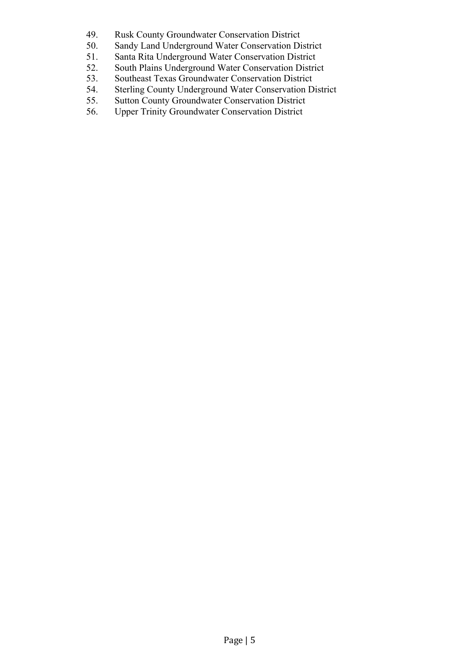- 49. Rusk County Groundwater Conservation District
- 50. Sandy Land Underground Water Conservation District
- 51. Santa Rita Underground Water Conservation District
- 52. South Plains Underground Water Conservation District
- 53. Southeast Texas Groundwater Conservation District
- 54. Sterling County Underground Water Conservation District
- 55. Sutton County Groundwater Conservation District
- 56. Upper Trinity Groundwater Conservation District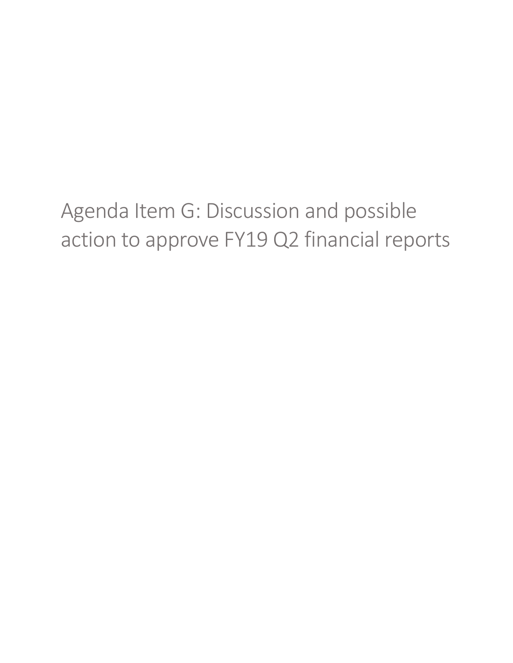Agenda Item G: Discussion and possible action to approve FY19 Q2 financial reports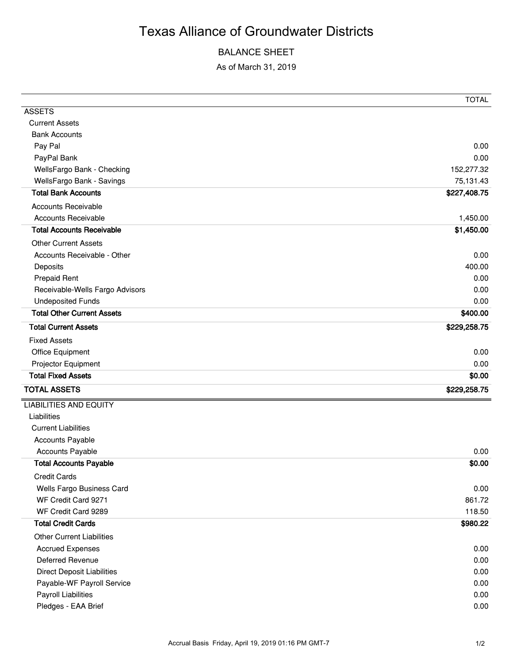## Texas Alliance of Groundwater Districts

#### BALANCE SHEET

As of March 31, 2019

|                                   | <b>TOTAL</b> |
|-----------------------------------|--------------|
| <b>ASSETS</b>                     |              |
| <b>Current Assets</b>             |              |
| <b>Bank Accounts</b>              |              |
| Pay Pal                           | 0.00         |
| PayPal Bank                       | 0.00         |
| WellsFargo Bank - Checking        | 152,277.32   |
| WellsFargo Bank - Savings         | 75,131.43    |
| <b>Total Bank Accounts</b>        | \$227,408.75 |
| <b>Accounts Receivable</b>        |              |
| <b>Accounts Receivable</b>        | 1,450.00     |
| <b>Total Accounts Receivable</b>  | \$1,450.00   |
| <b>Other Current Assets</b>       |              |
| Accounts Receivable - Other       | 0.00         |
| Deposits                          | 400.00       |
| <b>Prepaid Rent</b>               | 0.00         |
| Receivable-Wells Fargo Advisors   | 0.00         |
| <b>Undeposited Funds</b>          | 0.00         |
| <b>Total Other Current Assets</b> | \$400.00     |
| <b>Total Current Assets</b>       | \$229,258.75 |
| <b>Fixed Assets</b>               |              |
| Office Equipment                  | 0.00         |
| Projector Equipment               | 0.00         |
| <b>Total Fixed Assets</b>         | \$0.00       |
| <b>TOTAL ASSETS</b>               | \$229,258.75 |
| <b>LIABILITIES AND EQUITY</b>     |              |
| Liabilities                       |              |
| <b>Current Liabilities</b>        |              |
| <b>Accounts Payable</b>           |              |
| <b>Accounts Payable</b>           | 0.00         |
| <b>Total Accounts Payable</b>     | \$0.00       |
| <b>Credit Cards</b>               |              |
| Wells Fargo Business Card         | 0.00         |
| WF Credit Card 9271               | 861.72       |
| WF Credit Card 9289               | 118.50       |
| <b>Total Credit Cards</b>         | \$980.22     |
| <b>Other Current Liabilities</b>  |              |
| <b>Accrued Expenses</b>           | 0.00         |
| <b>Deferred Revenue</b>           | 0.00         |
| <b>Direct Deposit Liabilities</b> | 0.00         |
| Payable-WF Payroll Service        | 0.00         |
| <b>Payroll Liabilities</b>        | 0.00         |
| Pledges - EAA Brief               | 0.00         |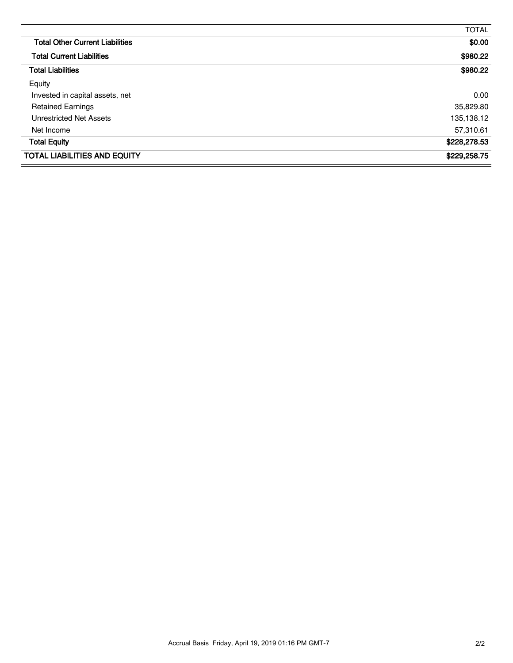|                                        | <b>TOTAL</b> |
|----------------------------------------|--------------|
| <b>Total Other Current Liabilities</b> | \$0.00       |
| <b>Total Current Liabilities</b>       | \$980.22     |
| <b>Total Liabilities</b>               | \$980.22     |
| Equity                                 |              |
| Invested in capital assets, net        | 0.00         |
| <b>Retained Earnings</b>               | 35,829.80    |
| Unrestricted Net Assets                | 135,138.12   |
| Net Income                             | 57,310.61    |
| <b>Total Equity</b>                    | \$228,278.53 |
| <b>TOTAL LIABILITIES AND EQUITY</b>    | \$229,258.75 |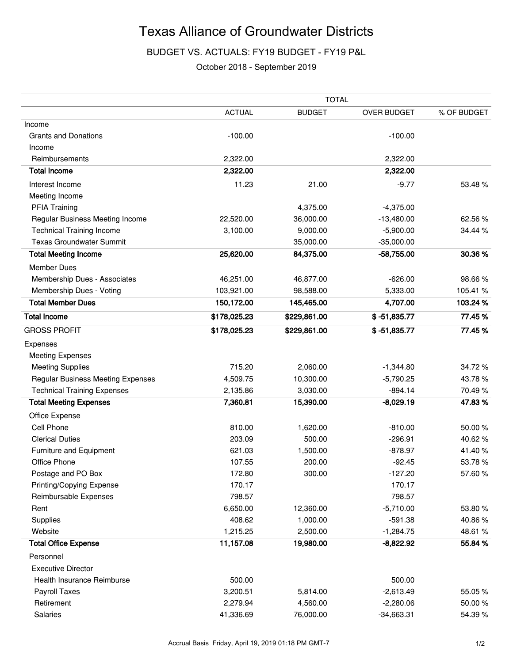## Texas Alliance of Groundwater Districts

BUDGET VS. ACTUALS: FY19 BUDGET - FY19 P&L

#### October 2018 - September 2019

|                                    | <b>TOTAL</b>  |               |                |             |
|------------------------------------|---------------|---------------|----------------|-------------|
|                                    | <b>ACTUAL</b> | <b>BUDGET</b> | OVER BUDGET    | % OF BUDGET |
| Income                             |               |               |                |             |
| <b>Grants and Donations</b>        | $-100.00$     |               | $-100.00$      |             |
| Income                             |               |               |                |             |
| Reimbursements                     | 2,322.00      |               | 2,322.00       |             |
| <b>Total Income</b>                | 2,322.00      |               | 2,322.00       |             |
| Interest Income                    | 11.23         | 21.00         | $-9.77$        | 53.48 %     |
| Meeting Income                     |               |               |                |             |
| <b>PFIA Training</b>               |               | 4,375.00      | $-4,375.00$    |             |
| Regular Business Meeting Income    | 22,520.00     | 36,000.00     | $-13,480.00$   | 62.56%      |
| <b>Technical Training Income</b>   | 3,100.00      | 9,000.00      | $-5,900.00$    | 34.44 %     |
| <b>Texas Groundwater Summit</b>    |               | 35,000.00     | $-35,000.00$   |             |
| <b>Total Meeting Income</b>        | 25,620.00     | 84,375.00     | $-58,755.00$   | 30.36%      |
| <b>Member Dues</b>                 |               |               |                |             |
| Membership Dues - Associates       | 46,251.00     | 46,877.00     | $-626.00$      | 98.66%      |
| Membership Dues - Voting           | 103,921.00    | 98,588.00     | 5,333.00       | 105.41 %    |
| <b>Total Member Dues</b>           | 150,172.00    | 145,465.00    | 4,707.00       | 103.24%     |
| <b>Total Income</b>                | \$178,025.23  | \$229,861.00  | $$ -51,835.77$ | 77.45%      |
| <b>GROSS PROFIT</b>                | \$178,025.23  | \$229,861.00  | $$ -51,835.77$ | 77.45%      |
| Expenses                           |               |               |                |             |
| <b>Meeting Expenses</b>            |               |               |                |             |
| <b>Meeting Supplies</b>            | 715.20        | 2,060.00      | $-1,344.80$    | 34.72%      |
| Regular Business Meeting Expenses  | 4,509.75      | 10,300.00     | $-5,790.25$    | 43.78%      |
| <b>Technical Training Expenses</b> | 2,135.86      | 3,030.00      | $-894.14$      | 70.49%      |
| <b>Total Meeting Expenses</b>      | 7,360.81      | 15,390.00     | $-8,029.19$    | 47.83%      |
| Office Expense                     |               |               |                |             |
| Cell Phone                         | 810.00        | 1,620.00      | $-810.00$      | 50.00%      |
| <b>Clerical Duties</b>             | 203.09        | 500.00        | $-296.91$      | 40.62%      |
| Furniture and Equipment            | 621.03        | 1,500.00      | $-878.97$      | 41.40%      |
| Office Phone                       | 107.55        | 200.00        | $-92.45$       | 53.78%      |
| Postage and PO Box                 | 172.80        | 300.00        | $-127.20$      | 57.60%      |
| Printing/Copying Expense           | 170.17        |               | 170.17         |             |
| Reimbursable Expenses              | 798.57        |               | 798.57         |             |
| Rent                               | 6,650.00      | 12,360.00     | $-5,710.00$    | 53.80%      |
| Supplies                           | 408.62        | 1,000.00      | $-591.38$      | 40.86%      |
| Website                            | 1,215.25      | 2,500.00      | $-1,284.75$    | 48.61%      |
| <b>Total Office Expense</b>        | 11,157.08     | 19,980.00     | $-8,822.92$    | 55.84 %     |
| Personnel                          |               |               |                |             |
| <b>Executive Director</b>          |               |               |                |             |
| Health Insurance Reimburse         | 500.00        |               | 500.00         |             |
| Payroll Taxes                      | 3,200.51      | 5,814.00      | $-2,613.49$    | 55.05%      |
| Retirement                         | 2,279.94      | 4,560.00      | $-2,280.06$    | 50.00%      |
| Salaries                           | 41,336.69     | 76,000.00     | $-34,663.31$   | 54.39%      |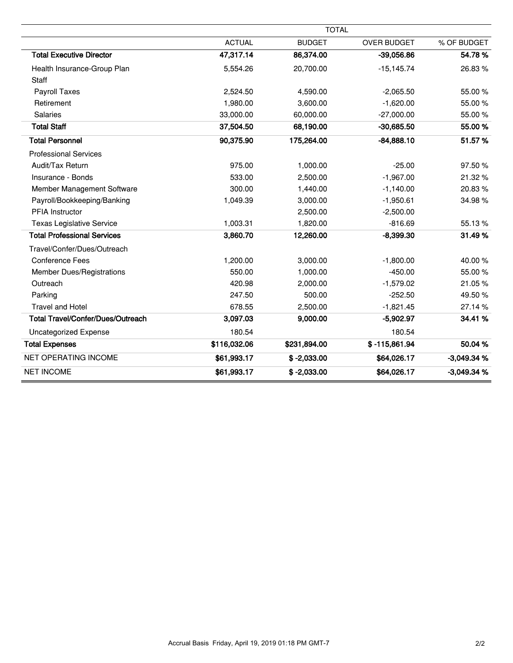|                                          |               | <b>TOTAL</b>  |                    |              |
|------------------------------------------|---------------|---------------|--------------------|--------------|
|                                          | <b>ACTUAL</b> | <b>BUDGET</b> | <b>OVER BUDGET</b> | % OF BUDGET  |
| <b>Total Executive Director</b>          | 47,317.14     | 86,374.00     | $-39,056.86$       | 54.78%       |
| Health Insurance-Group Plan              | 5,554.26      | 20,700.00     | $-15, 145.74$      | 26.83%       |
| Staff                                    |               |               |                    |              |
| Payroll Taxes                            | 2,524.50      | 4,590.00      | $-2,065.50$        | 55.00 %      |
| Retirement                               | 1,980.00      | 3,600.00      | $-1,620.00$        | 55.00 %      |
| <b>Salaries</b>                          | 33,000.00     | 60,000.00     | $-27,000.00$       | 55.00 %      |
| <b>Total Staff</b>                       | 37,504.50     | 68,190.00     | $-30,685.50$       | 55.00 %      |
| <b>Total Personnel</b>                   | 90,375.90     | 175,264.00    | $-84,888.10$       | 51.57%       |
| <b>Professional Services</b>             |               |               |                    |              |
| Audit/Tax Return                         | 975.00        | 1,000.00      | $-25.00$           | 97.50%       |
| Insurance - Bonds                        | 533.00        | 2,500.00      | $-1,967.00$        | 21.32%       |
| Member Management Software               | 300.00        | 1,440.00      | $-1,140.00$        | 20.83%       |
| Payroll/Bookkeeping/Banking              | 1,049.39      | 3,000.00      | $-1,950.61$        | 34.98%       |
| PFIA Instructor                          |               | 2,500.00      | $-2,500.00$        |              |
| <b>Texas Legislative Service</b>         | 1,003.31      | 1,820.00      | $-816.69$          | 55.13%       |
| <b>Total Professional Services</b>       | 3,860.70      | 12,260.00     | $-8,399.30$        | 31.49%       |
| Travel/Confer/Dues/Outreach              |               |               |                    |              |
| <b>Conference Fees</b>                   | 1,200.00      | 3,000.00      | $-1,800.00$        | 40.00%       |
| <b>Member Dues/Registrations</b>         | 550.00        | 1,000.00      | $-450.00$          | 55.00 %      |
| Outreach                                 | 420.98        | 2,000.00      | $-1,579.02$        | 21.05%       |
| Parking                                  | 247.50        | 500.00        | $-252.50$          | 49.50%       |
| <b>Travel and Hotel</b>                  | 678.55        | 2,500.00      | $-1,821.45$        | 27.14%       |
| <b>Total Travel/Confer/Dues/Outreach</b> | 3,097.03      | 9,000.00      | $-5,902.97$        | 34.41 %      |
| <b>Uncategorized Expense</b>             | 180.54        |               | 180.54             |              |
| <b>Total Expenses</b>                    | \$116,032.06  | \$231,894.00  | $$ -115,861.94$    | 50.04%       |
| <b>NET OPERATING INCOME</b>              | \$61,993.17   | $$ -2,033.00$ | \$64,026.17        | $-3,049.34%$ |
| <b>NET INCOME</b>                        | \$61,993.17   | $$ -2,033.00$ | \$64,026.17        | $-3,049.34%$ |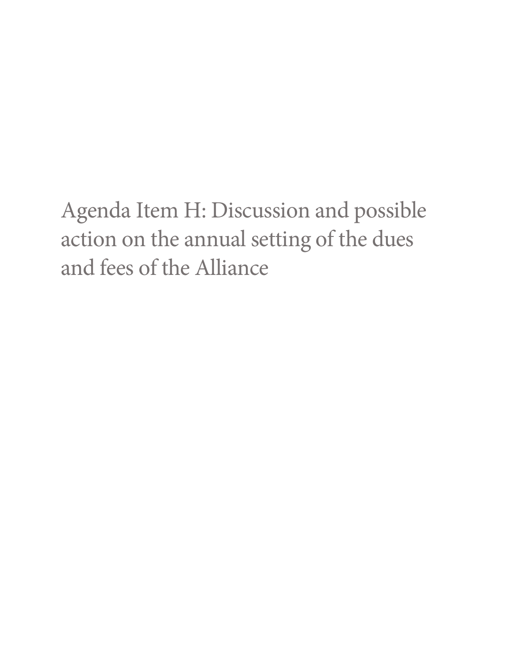Agenda Item H: Discussion and possible action on the annual setting of the dues and fees of the Alliance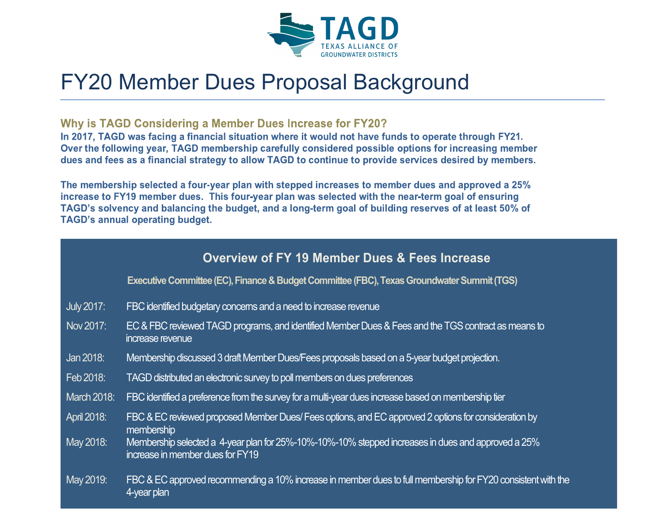

## FY20 Member Dues Proposal Background

#### Why is TAGD Considering a Member Dues Increase for FY20?

In 2017, TAGD was facing a financial situation where it would not have funds to operate through FY21. Over the following year, TAGD membership carefully considered possible options for increasing member dues and fees as a financial strategy to allow TAGD to continue to provide services desired by members.

The membership selected a four-year plan with stepped increases to member dues and approved a 25% increase to FY19 member dues. This four-year plan was selected with the near-term goal of ensuring TAGD's solvency and balancing the budget, and a long-term goal of building reserves of at least 50% of **TAGD's annual operating budget.** 

### **Overview of FY 19 Member Dues & Fees Increase**

**Executive Committee (EC), Finance & Budget Committee (FBC), Texas Groundwater Summit (TGS)**

- July 2017: FBC identified budgetary concerns and a need to increase revenue
- Nov 2017: EC & FBC reviewed TAGD programs, and identified Member Dues & Fees and the TGS contract as means to increase revenue
- Jan 2018: Membership discussed 3 draft Member Dues/Fees proposals based on a 5-year budget projection.
- Feb 2018: TAGD distributed an electronic survey to poll members on dues preferences
- March 2018: FBC identified a preference from the survey for a multi-year dues increase based on membership tier
- April 2018: FBC & EC reviewed proposed Member Dues/ Fees options, and EC approved 2 options for consideration by membership
- May 2018: Membership selected a 4-year plan for 25%-10%-10%-10% stepped increases in dues and approved a 25% increase in member dues for FY19
- May 2019: FBC & EC approved recommending a 10% increase in member dues to full membership for FY20 consistent with the 4-year plan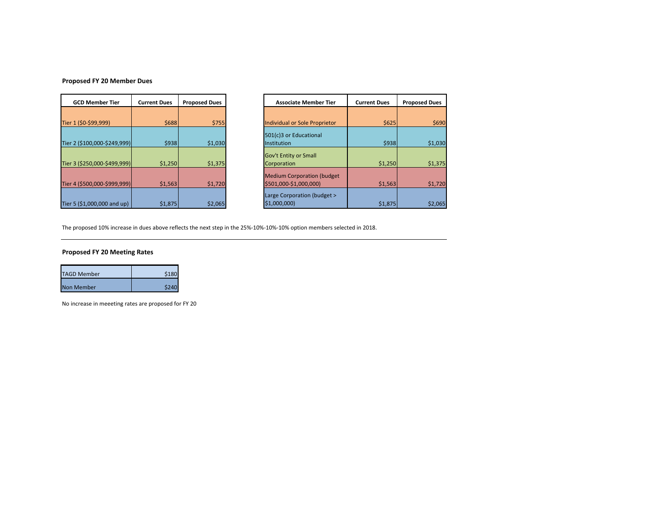#### **Proposed FY 20 Member Dues**

| <b>GCD Member Tier</b>       | <b>Current Dues</b> | <b>Proposed Dues</b> |
|------------------------------|---------------------|----------------------|
|                              |                     |                      |
| Tier 1 (\$0-\$99,999)        | \$688               | \$755                |
|                              |                     |                      |
| Tier 2 (\$100,000-\$249,999) | \$938               | \$1,030              |
|                              |                     |                      |
| Tier 3 (\$250,000-\$499,999) | \$1,250             | \$1,375              |
|                              |                     |                      |
| Tier 4 (\$500,000-\$999,999) | \$1,563             | \$1,720              |
|                              |                     |                      |
| Tier 5 (\$1,000,000 and up)  | \$1,875             | \$2,065              |

| <b>GCD Member Tier</b>       | <b>Current Dues</b> | <b>Proposed Dues</b> |
|------------------------------|---------------------|----------------------|
|                              |                     |                      |
| Tier 1 (\$0-\$99,999)        | \$688               | \$755                |
|                              |                     |                      |
| Tier 2 (\$100,000-\$249,999) | \$938               | \$1,030              |
|                              |                     |                      |
| Tier 3 (\$250,000-\$499,999) | \$1,250             | \$1,375              |
|                              |                     |                      |
| Tier 4 (\$500,000-\$999,999) | \$1,563             | \$1,720              |
|                              |                     |                      |
| Tier 5 (\$1,000,000 and up)  | \$1,875             | \$2,065              |

The proposed 10% increase in dues above reflects the next step in the 25%-10%-10%-10% option members selected in 2018.

#### **Proposed FY 20 Meeting Rates**

| <b>TAGD Member</b> | \$180 |
|--------------------|-------|
| <b>Non Member</b>  | \$240 |

No increase in meeeting rates are proposed for FY 20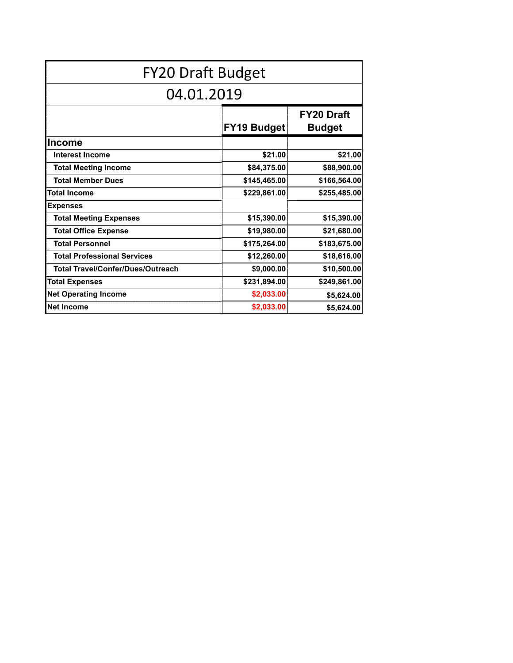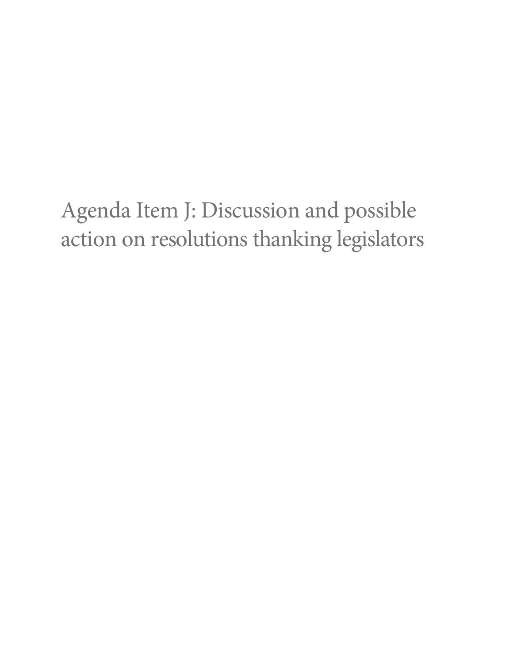# Agenda Item J: Discussion and possible action on resolutions thanking legislators